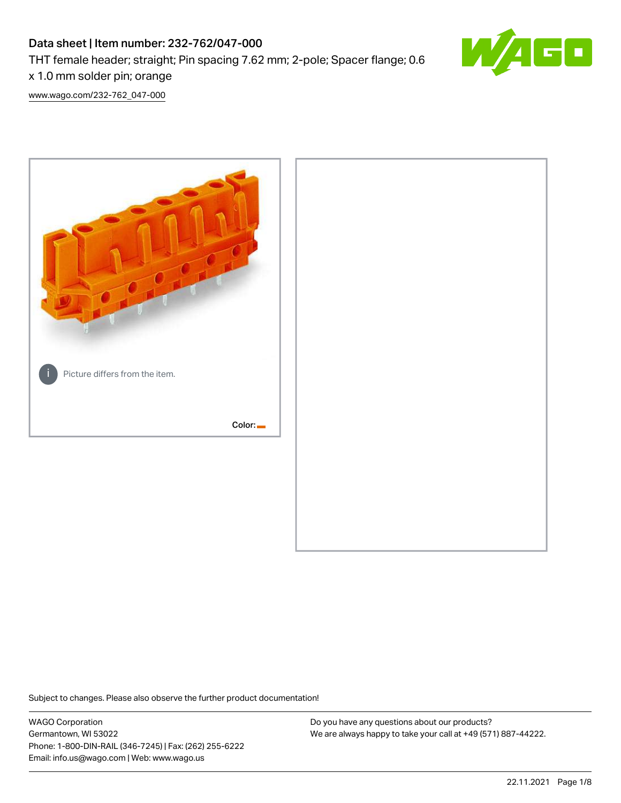# Data sheet | Item number: 232-762/047-000 THT female header; straight; Pin spacing 7.62 mm; 2-pole; Spacer flange; 0.6 x 1.0 mm solder pin; orange



[www.wago.com/232-762\\_047-000](http://www.wago.com/232-762_047-000)



Subject to changes. Please also observe the further product documentation!

WAGO Corporation Germantown, WI 53022 Phone: 1-800-DIN-RAIL (346-7245) | Fax: (262) 255-6222 Email: info.us@wago.com | Web: www.wago.us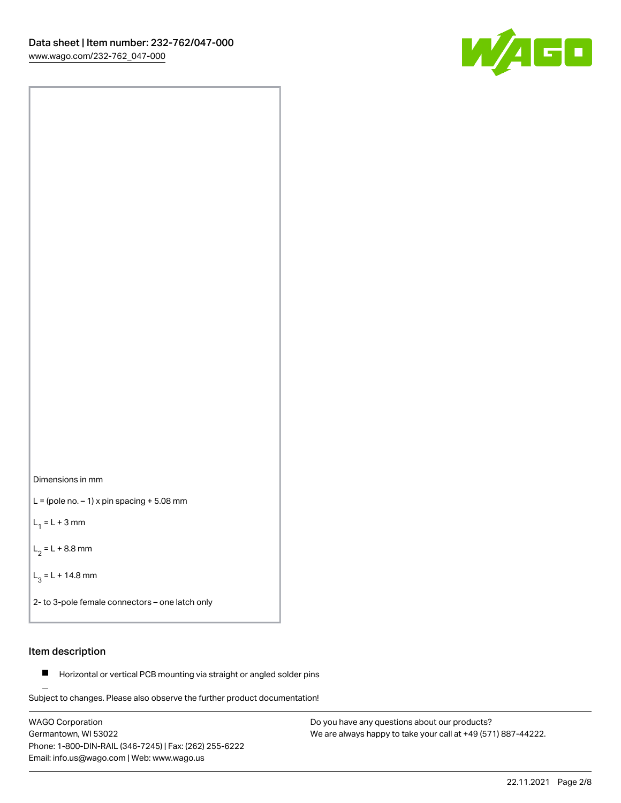

Dimensions in mm

 $L =$  (pole no.  $-1$ ) x pin spacing  $+5.08$  mm

 $L_1 = L + 3$  mm

 $L_2 = L + 8.8$  mm

 $L_3 = L + 14.8$  mm

2- to 3-pole female connectors – one latch only

## Item description

**Horizontal or vertical PCB mounting via straight or angled solder pins** 

Subject to changes. Please also observe the further product documentation! For board-to-board and board-to-wire connections

WAGO Corporation Germantown, WI 53022 Phone: 1-800-DIN-RAIL (346-7245) | Fax: (262) 255-6222 Email: info.us@wago.com | Web: www.wago.us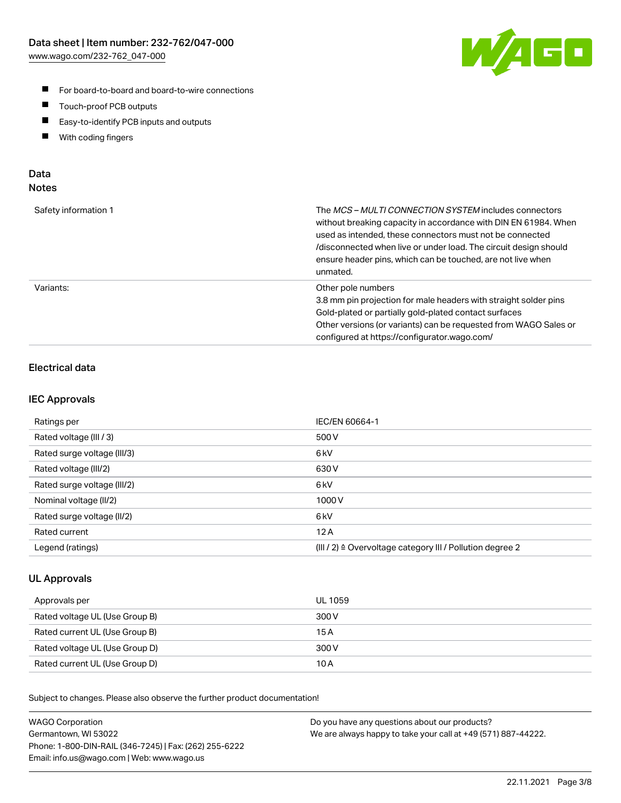

- For board-to-board and board-to-wire connections
- $\blacksquare$ Touch-proof PCB outputs
- $\blacksquare$ Easy-to-identify PCB inputs and outputs
- $\blacksquare$ With coding fingers

## Data **Notes**

| Safety information 1 | The <i>MCS – MULTI CONNECTION SYSTEM</i> includes connectors<br>without breaking capacity in accordance with DIN EN 61984. When<br>used as intended, these connectors must not be connected<br>/disconnected when live or under load. The circuit design should<br>ensure header pins, which can be touched, are not live when<br>unmated. |
|----------------------|--------------------------------------------------------------------------------------------------------------------------------------------------------------------------------------------------------------------------------------------------------------------------------------------------------------------------------------------|
| Variants:            | Other pole numbers<br>3.8 mm pin projection for male headers with straight solder pins<br>Gold-plated or partially gold-plated contact surfaces<br>Other versions (or variants) can be requested from WAGO Sales or<br>configured at https://configurator.wago.com/                                                                        |

# Electrical data

### IEC Approvals

| Ratings per                 | IEC/EN 60664-1                                                        |
|-----------------------------|-----------------------------------------------------------------------|
| Rated voltage (III / 3)     | 500 V                                                                 |
| Rated surge voltage (III/3) | 6kV                                                                   |
| Rated voltage (III/2)       | 630 V                                                                 |
| Rated surge voltage (III/2) | 6 <sub>kV</sub>                                                       |
| Nominal voltage (II/2)      | 1000 V                                                                |
| Rated surge voltage (II/2)  | 6 <sub>kV</sub>                                                       |
| Rated current               | 12A                                                                   |
| Legend (ratings)            | $(III / 2)$ $\triangle$ Overvoltage category III / Pollution degree 2 |

### UL Approvals

| Approvals per                  | UL 1059 |
|--------------------------------|---------|
| Rated voltage UL (Use Group B) | 300 V   |
| Rated current UL (Use Group B) | 15 A    |
| Rated voltage UL (Use Group D) | 300 V   |
| Rated current UL (Use Group D) | 10 A    |

Subject to changes. Please also observe the further product documentation!

| <b>WAGO Corporation</b>                                | Do you have any questions about our products?                 |
|--------------------------------------------------------|---------------------------------------------------------------|
| Germantown, WI 53022                                   | We are always happy to take your call at +49 (571) 887-44222. |
| Phone: 1-800-DIN-RAIL (346-7245)   Fax: (262) 255-6222 |                                                               |
| Email: info.us@wago.com   Web: www.wago.us             |                                                               |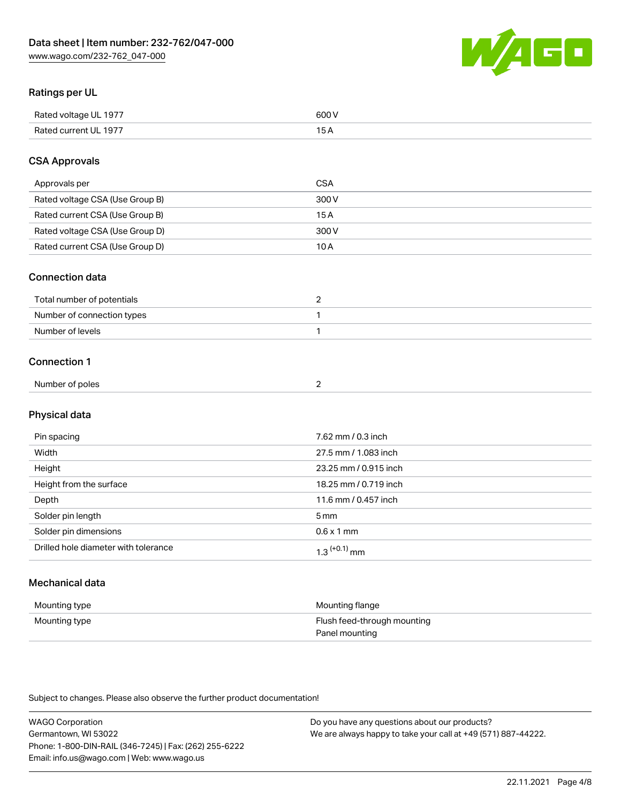

## Ratings per UL

| Rated voltage UL 1977 | 600   |
|-----------------------|-------|
| Rated current UL 1977 | . O F |

## CSA Approvals

| Approvals per                   | CSA   |
|---------------------------------|-------|
| Rated voltage CSA (Use Group B) | 300 V |
| Rated current CSA (Use Group B) | 15 A  |
| Rated voltage CSA (Use Group D) | 300 V |
| Rated current CSA (Use Group D) | 10 A  |

#### Connection data

| Total number of potentials |  |
|----------------------------|--|
| Number of connection types |  |
| Number of levels           |  |

#### Connection 1

| Number of poles |  |
|-----------------|--|
|                 |  |

# Physical data

| Pin spacing                          | 7.62 mm / 0.3 inch    |
|--------------------------------------|-----------------------|
| Width                                | 27.5 mm / 1.083 inch  |
| Height                               | 23.25 mm / 0.915 inch |
| Height from the surface              | 18.25 mm / 0.719 inch |
| Depth                                | 11.6 mm / 0.457 inch  |
| Solder pin length                    | 5 <sub>mm</sub>       |
| Solder pin dimensions                | $0.6 \times 1$ mm     |
| Drilled hole diameter with tolerance | $1.3$ $(+0.1)$ mm     |

# Mechanical data

| Mounting type | Mounting flange             |
|---------------|-----------------------------|
| Mounting type | Flush feed-through mounting |
|               | Panel mounting              |

Subject to changes. Please also observe the further product documentation!

| <b>WAGO Corporation</b>                                | Do you have any questions about our products?                 |
|--------------------------------------------------------|---------------------------------------------------------------|
| Germantown, WI 53022                                   | We are always happy to take your call at +49 (571) 887-44222. |
| Phone: 1-800-DIN-RAIL (346-7245)   Fax: (262) 255-6222 |                                                               |
| Email: info.us@wago.com   Web: www.wago.us             |                                                               |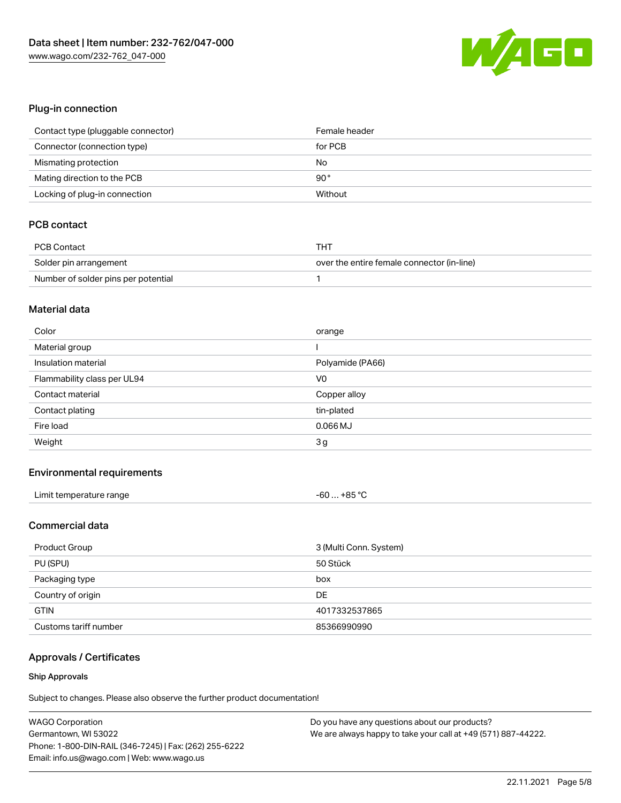

## Plug-in connection

| Contact type (pluggable connector) | Female header |
|------------------------------------|---------------|
| Connector (connection type)        | for PCB       |
| Mismating protection               | No            |
| Mating direction to the PCB        | $90^{\circ}$  |
| Locking of plug-in connection      | Without       |

# PCB contact

| PCB Contact                         | тнт                                        |
|-------------------------------------|--------------------------------------------|
| Solder pin arrangement              | over the entire female connector (in-line) |
| Number of solder pins per potential |                                            |

#### Material data

| Color                       | orange           |
|-----------------------------|------------------|
| Material group              |                  |
| Insulation material         | Polyamide (PA66) |
| Flammability class per UL94 | V <sub>0</sub>   |
| Contact material            | Copper alloy     |
| Contact plating             | tin-plated       |
| Fire load                   | $0.066$ MJ       |
| Weight                      | 3g               |

### Environmental requirements

| Limit temperature range | $-60+85 °C$ |
|-------------------------|-------------|
| .                       |             |

## Commercial data

| Product Group         | 3 (Multi Conn. System) |  |
|-----------------------|------------------------|--|
| PU (SPU)              | 50 Stück               |  |
| Packaging type        | box                    |  |
| Country of origin     | DE                     |  |
| <b>GTIN</b>           | 4017332537865          |  |
| Customs tariff number | 85366990990            |  |

# Approvals / Certificates

#### Ship Approvals

Subject to changes. Please also observe the further product documentation!

| <b>WAGO Corporation</b>                                | Do you have any questions about our products?                 |
|--------------------------------------------------------|---------------------------------------------------------------|
| Germantown, WI 53022                                   | We are always happy to take your call at +49 (571) 887-44222. |
| Phone: 1-800-DIN-RAIL (346-7245)   Fax: (262) 255-6222 |                                                               |
| Email: info.us@wago.com   Web: www.wago.us             |                                                               |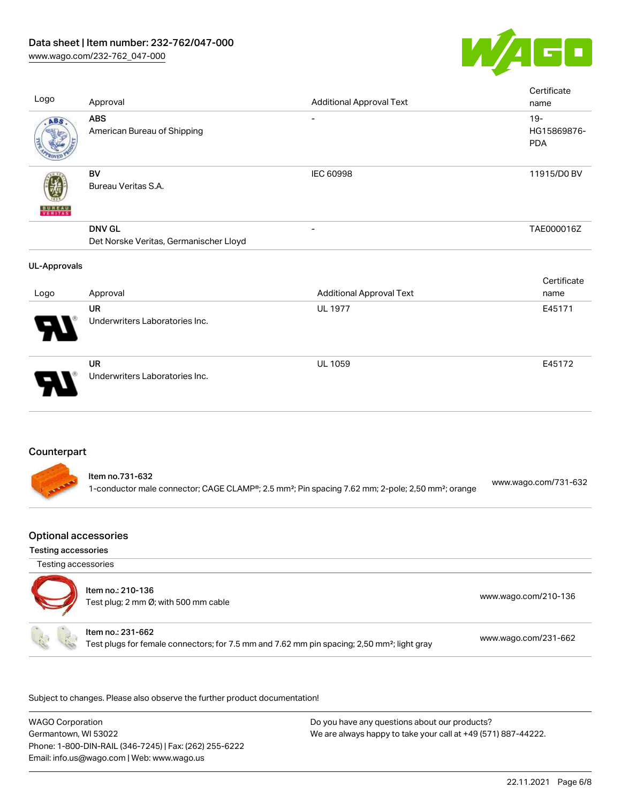

| Approval                                                | <b>Additional Approval Text</b> | Certificate<br>name                 |
|---------------------------------------------------------|---------------------------------|-------------------------------------|
| <b>ABS</b><br>American Bureau of Shipping               | $\overline{\phantom{a}}$        | $19 -$<br>HG15869876-<br><b>PDA</b> |
| <b>BV</b><br>Bureau Veritas S.A.                        | IEC 60998                       | 11915/D0 BV                         |
| <b>DNV GL</b><br>Det Norske Veritas, Germanischer Lloyd |                                 | TAE000016Z                          |
| <b>UL-Approvals</b>                                     |                                 |                                     |
| Approval                                                | <b>Additional Approval Text</b> | Certificate<br>name                 |
| <b>UR</b><br>Underwriters Laboratories Inc.             | <b>UL 1977</b>                  | E45171                              |
| <b>UR</b><br>Underwriters Laboratories Inc.             | <b>UL 1059</b>                  | E45172                              |
| Counterpart<br>Item no.731-632                          |                                 |                                     |
|                                                         |                                 |                                     |

## Optional accessories

Testing accessories

Testing accessories



1-conductor male connector; CAGE CLAMP®; 2.5 mm²; Pin spacing 7.62 mm; 2-pole; 2,50 mm²; orange [www.wago.com/731-632](https://www.wago.com/731-632)

.<br>Subject to changes. Please also observe the further product documentation!

WAGO Corporation Germantown, WI 53022 Phone: 1-800-DIN-RAIL (346-7245) | Fax: (262) 255-6222 Email: info.us@wago.com | Web: www.wago.us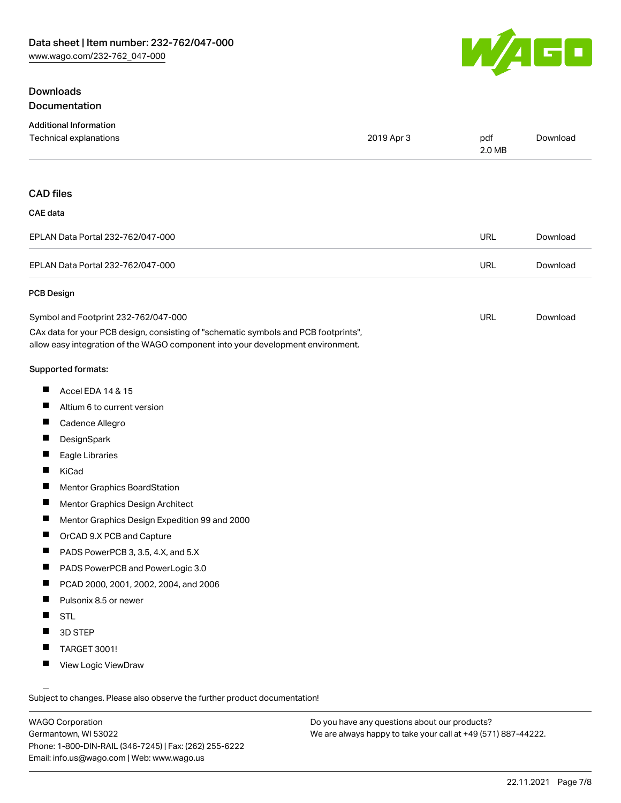### Downloads Documentation



| <b>Additional Information</b>                                                                                                                                          |            |               |          |
|------------------------------------------------------------------------------------------------------------------------------------------------------------------------|------------|---------------|----------|
| <b>Technical explanations</b>                                                                                                                                          | 2019 Apr 3 | pdf<br>2.0 MB | Download |
|                                                                                                                                                                        |            |               |          |
| <b>CAD files</b>                                                                                                                                                       |            |               |          |
| CAE data                                                                                                                                                               |            |               |          |
| EPLAN Data Portal 232-762/047-000                                                                                                                                      |            | <b>URL</b>    | Download |
| EPLAN Data Portal 232-762/047-000                                                                                                                                      |            | <b>URL</b>    | Download |
| PCB Design                                                                                                                                                             |            |               |          |
| Symbol and Footprint 232-762/047-000                                                                                                                                   |            | <b>URL</b>    | Download |
| CAx data for your PCB design, consisting of "schematic symbols and PCB footprints",<br>allow easy integration of the WAGO component into your development environment. |            |               |          |
| Supported formats:                                                                                                                                                     |            |               |          |
| Accel EDA 14 & 15                                                                                                                                                      |            |               |          |

- $\blacksquare$ Altium 6 to current version
- $\blacksquare$ Cadence Allegro
- $\blacksquare$ **DesignSpark**
- $\blacksquare$ Eagle Libraries
- $\blacksquare$ KiCad
- $\blacksquare$ Mentor Graphics BoardStation
- $\blacksquare$ Mentor Graphics Design Architect
- $\blacksquare$ Mentor Graphics Design Expedition 99 and 2000
- $\blacksquare$ OrCAD 9.X PCB and Capture
- $\blacksquare$ PADS PowerPCB 3, 3.5, 4.X, and 5.X
- $\blacksquare$ PADS PowerPCB and PowerLogic 3.0
- $\blacksquare$ PCAD 2000, 2001, 2002, 2004, and 2006
- $\blacksquare$ Pulsonix 8.5 or newer
- $\blacksquare$ STL
- $\blacksquare$ 3D STEP
- П TARGET 3001!
- $\blacksquare$ View Logic ViewDraw

Subject to changes. Please also observe the further product documentation!

WAGO Corporation Germantown, WI 53022 Phone: 1-800-DIN-RAIL (346-7245) | Fax: (262) 255-6222 Email: info.us@wago.com | Web: www.wago.us